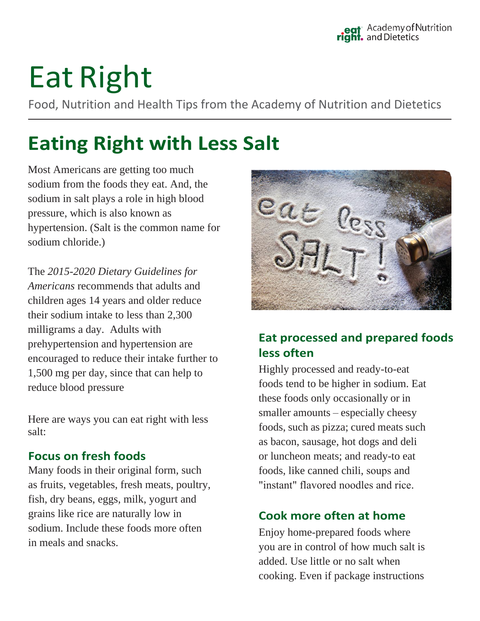# Eat Right

Food, Nutrition and Health Tips from the Academy of Nutrition and Dietetics

# **Eating Right with Less Salt**

Most Americans are getting too much sodium from the foods they eat. And, the sodium in salt plays a role in high blood pressure, which is also known as hypertension. (Salt is the common name for sodium chloride.)

The *2015-2020 Dietary Guidelines for Americans* recommends that adults and children ages 14 years and older reduce their sodium intake to less than 2,300 milligrams a day. Adults with prehypertension and hypertension are encouraged to reduce their intake further to 1,500 mg per day, since that can help to reduce blood pressure

Here are ways you can eat right with less salt:

### **Focus on fresh foods**

Many foods in their original form, such as fruits, vegetables, fresh meats, poultry, fish, dry beans, eggs, milk, yogurt and grains like rice are naturally low in sodium. Include these foods more often in meals and snacks.



# **Eat processed and prepared foods less often**

Highly processed and ready-to-eat foods tend to be higher in sodium. Eat these foods only occasionally or in smaller amounts – especially cheesy foods, such as pizza; cured meats such as bacon, sausage, hot dogs and deli or luncheon meats; and ready-to eat foods, like canned chili, soups and "instant" flavored noodles and rice.

# **Cook more often at home**

Enjoy home-prepared foods where you are in control of how much salt is added. Use little or no salt when cooking. Even if package instructions